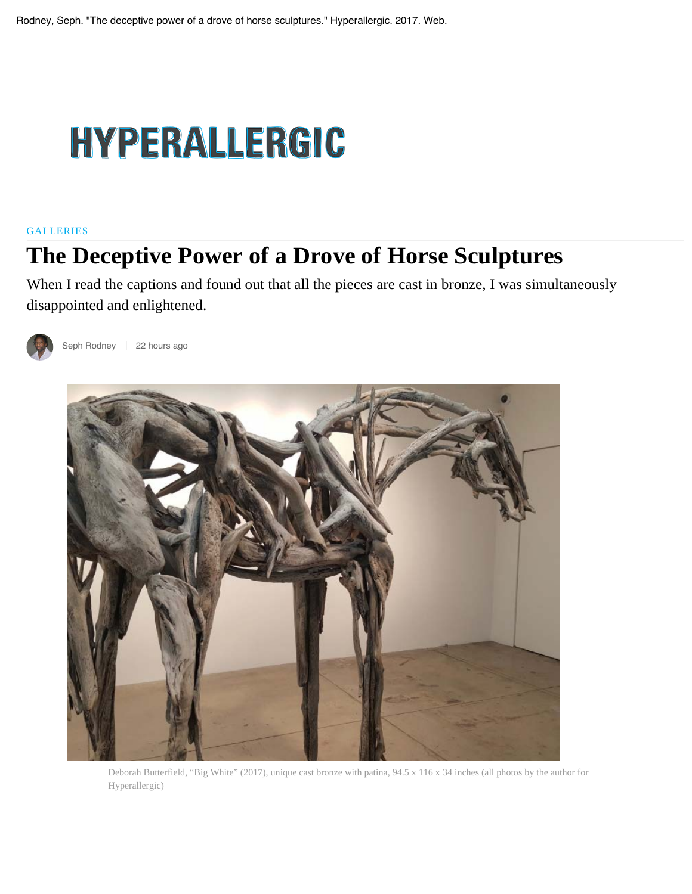## HYPERALLERGIC

## **GALLERIES**

## **The Deceptive Power of a Drove of Horse Sculptures**

When I read the captions and found out that all the pieces are cast in bronze, I was simultaneously disappointed and enlightened.



Seph Rodney 22 hours ago



Deborah Butterfield, "Big White" (2017), unique cast bronze with patina, 94.5 x 116 x 34 inches (all photos by the author for Hyperallergic)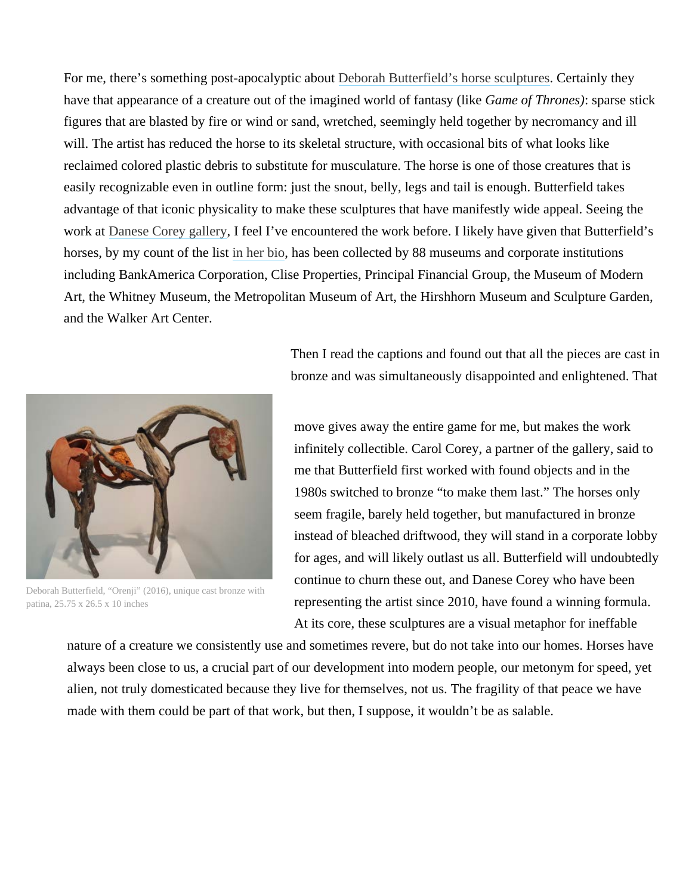For me, there's something post-apocalyptic about Deborah Butterfield's horse sculptures. Certainly they have that appearance of a creature out of the imagined world of fantasy (like *Game of Thrones)*: sparse stick figures that are blasted by fire or wind or sand, wretched, seemingly held together by necromancy and ill will. The artist has reduced the horse to its skeletal structure, with occasional bits of what looks like reclaimed colored plastic debris to substitute for musculature. The horse is one of those creatures that is easily recognizable even in outline form: just the snout, belly, legs and tail is enough. Butterfield takes advantage of that iconic physicality to make these sculptures that have manifestly wide appeal. Seeing the work at Danese Corey gallery, I feel I've encountered the work before. I likely have given that Butterfield's horses, by my count of the list in her bio, has been collected by 88 museums and corporate institutions including BankAmerica Corporation, Clise Properties, Principal Financial Group, the Museum of Modern Art, the Whitney Museum, the Metropolitan Museum of Art, the Hirshhorn Museum and Sculpture Garden, and the Walker Art Center.



Deborah Butterfield, "Orenji" (2016), unique cast bronze with patina, 25.75 x 26.5 x 10 inches

Then I read the captions and found out that all the pieces are cast in bronze and was simultaneously disappointed and enlightened. That

move gives away the entire game for me, but makes the work infinitely collectible. Carol Corey, a partner of the gallery, said to me that Butterfield first worked with found objects and in the 1980s switched to bronze "to make them last." The horses only seem fragile, barely held together, but manufactured in bronze instead of bleached driftwood, they will stand in a corporate lobby for ages, and will likely outlast us all. Butterfield will undoubtedly continue to churn these out, and Danese Corey who have been representing the artist since 2010, have found a winning formula. At its core, these sculptures are a visual metaphor for ineffable

nature of a creature we consistently use and sometimes revere, but do not take into our homes. Horses have always been close to us, a crucial part of our development into modern people, our metonym for speed, yet alien, not truly domesticated because they live for themselves, not us. The fragility of that peace we have made with them could be part of that work, but then, I suppose, it wouldn't be as salable.